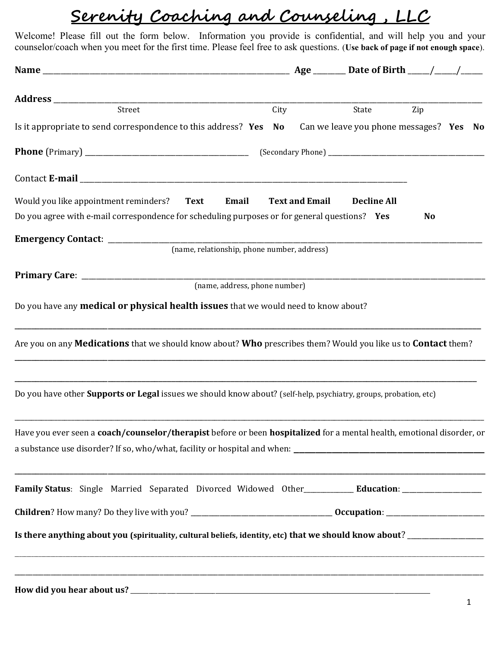## Serenity Coaching and Counseling , LLC

Welcome! Please fill out the form below. Information you provide is confidential, and will help you and your counselor/coach when you meet for the first time. Please feel free to ask questions. (Use back of page if not enough space).

| Street                                                                                                                  | City |                       | State              | Zip       |  |
|-------------------------------------------------------------------------------------------------------------------------|------|-----------------------|--------------------|-----------|--|
| Is it appropriate to send correspondence to this address? Yes No Can we leave you phone messages? Yes No                |      |                       |                    |           |  |
|                                                                                                                         |      |                       |                    |           |  |
|                                                                                                                         |      |                       |                    |           |  |
| Would you like appointment reminders? Text Email                                                                        |      | <b>Text and Email</b> | <b>Decline All</b> |           |  |
| Do you agree with e-mail correspondence for scheduling purposes or for general questions? Yes                           |      |                       |                    | <b>No</b> |  |
| Emergency Contact: _____________                                                                                        |      |                       |                    |           |  |
| (name, relationship, phone number, address)                                                                             |      |                       |                    |           |  |
|                                                                                                                         |      |                       |                    |           |  |
| (name, address, phone number)                                                                                           |      |                       |                    |           |  |
| Do you have any medical or physical health issues that we would need to know about?                                     |      |                       |                    |           |  |
| Are you on any <b>Medications</b> that we should know about? Who prescribes them? Would you like us to Contact them?    |      |                       |                    |           |  |
| Do you have other <b>Supports or Legal</b> issues we should know about? (self-help, psychiatry, groups, probation, etc) |      |                       |                    |           |  |
| Have you ever seen a coach/counselor/therapist before or been hospitalized for a mental health, emotional disorder, or  |      |                       |                    |           |  |
| Family Status: Single Married Separated Divorced Widowed Other____________ Education: ______________                    |      |                       |                    |           |  |
|                                                                                                                         |      |                       |                    |           |  |
| Is there anything about you (spirituality, cultural beliefs, identity, etc) that we should know about? _______________  |      |                       |                    |           |  |
| <u> 1980 - Johann Stoff, deutscher Stoff, der Stoff, der Stoff, der Stoff, der Stoff, der Stoff, der Stoff, der S</u>   |      |                       |                    |           |  |
|                                                                                                                         |      |                       |                    |           |  |